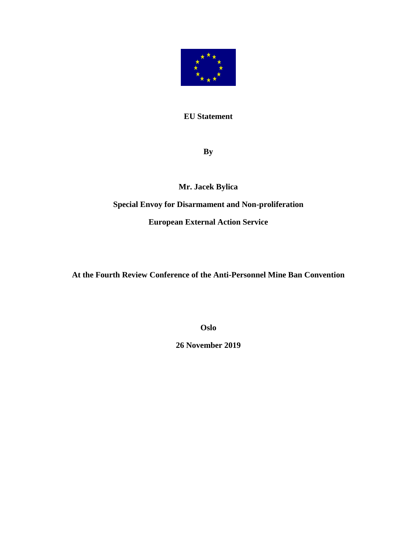

## **EU Statement**

**By**

**Mr. Jacek Bylica**

## **Special Envoy for Disarmament and Non-proliferation**

**European External Action Service**

**At the Fourth Review Conference of the Anti-Personnel Mine Ban Convention**

**Oslo**

**26 November 2019**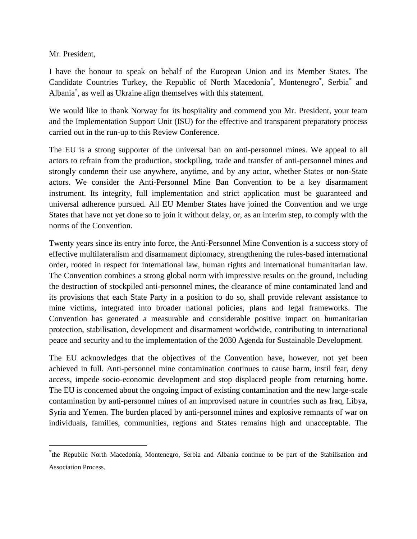Mr. President,

l

I have the honour to speak on behalf of the European Union and its Member States. The Candidate Countries Turkey, the Republic of North Macedonia<sup>\*</sup>, Montenegro<sup>\*</sup>, Serbia<sup>\*</sup> and Albania\* , as well as Ukraine align themselves with this statement.

We would like to thank Norway for its hospitality and commend you Mr. President, your team and the Implementation Support Unit (ISU) for the effective and transparent preparatory process carried out in the run-up to this Review Conference.

The EU is a strong supporter of the universal ban on anti-personnel mines. We appeal to all actors to refrain from the production, stockpiling, trade and transfer of anti-personnel mines and strongly condemn their use anywhere, anytime, and by any actor, whether States or non-State actors. We consider the Anti-Personnel Mine Ban Convention to be a key disarmament instrument. Its integrity, full implementation and strict application must be guaranteed and universal adherence pursued. All EU Member States have joined the Convention and we urge States that have not yet done so to join it without delay, or, as an interim step, to comply with the norms of the Convention.

Twenty years since its entry into force, the Anti-Personnel Mine Convention is a success story of effective multilateralism and disarmament diplomacy, strengthening the rules-based international order, rooted in respect for international law, human rights and international humanitarian law. The Convention combines a strong global norm with impressive results on the ground, including the destruction of stockpiled anti-personnel mines, the clearance of mine contaminated land and its provisions that each State Party in a position to do so, shall provide relevant assistance to mine victims, integrated into broader national policies, plans and legal frameworks. The Convention has generated a measurable and considerable positive impact on humanitarian protection, stabilisation, development and disarmament worldwide, contributing to international peace and security and to the implementation of the 2030 Agenda for Sustainable Development.

The EU acknowledges that the objectives of the Convention have, however, not yet been achieved in full. Anti-personnel mine contamination continues to cause harm, instil fear, deny access, impede socio-economic development and stop displaced people from returning home. The EU is concerned about the ongoing impact of existing contamination and the new large-scale contamination by anti-personnel mines of an improvised nature in countries such as Iraq, Libya, Syria and Yemen. The burden placed by anti-personnel mines and explosive remnants of war on individuals, families, communities, regions and States remains high and unacceptable. The

<sup>\*</sup> the Republic North Macedonia, Montenegro, Serbia and Albania continue to be part of the Stabilisation and Association Process.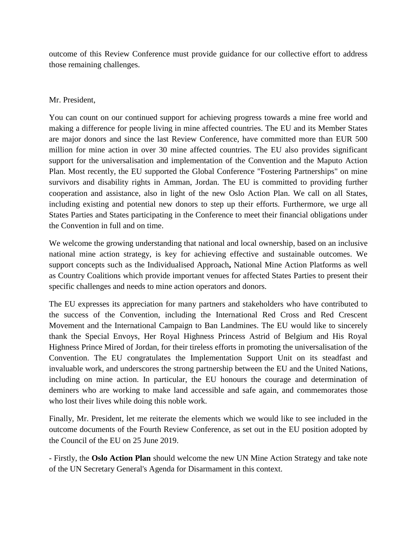outcome of this Review Conference must provide guidance for our collective effort to address those remaining challenges.

## Mr. President,

You can count on our continued support for achieving progress towards a mine free world and making a difference for people living in mine affected countries. The EU and its Member States are major donors and since the last Review Conference, have committed more than EUR 500 million for mine action in over 30 mine affected countries. The EU also provides significant support for the universalisation and implementation of the Convention and the Maputo Action Plan. Most recently, the EU supported the Global Conference "Fostering Partnerships" on mine survivors and disability rights in Amman, Jordan. The EU is committed to providing further cooperation and assistance, also in light of the new Oslo Action Plan. We call on all States, including existing and potential new donors to step up their efforts. Furthermore, we urge all States Parties and States participating in the Conference to meet their financial obligations under the Convention in full and on time.

We welcome the growing understanding that national and local ownership, based on an inclusive national mine action strategy, is key for achieving effective and sustainable outcomes. We support concepts such as the Individualised Approach**,** National Mine Action Platforms as well as Country Coalitions which provide important venues for affected States Parties to present their specific challenges and needs to mine action operators and donors.

The EU expresses its appreciation for many partners and stakeholders who have contributed to the success of the Convention, including the International Red Cross and Red Crescent Movement and the International Campaign to Ban Landmines. The EU would like to sincerely thank the Special Envoys, Her Royal Highness Princess Astrid of Belgium and His Royal Highness Prince Mired of Jordan, for their tireless efforts in promoting the universalisation of the Convention. The EU congratulates the Implementation Support Unit on its steadfast and invaluable work, and underscores the strong partnership between the EU and the United Nations, including on mine action. In particular, the EU honours the courage and determination of deminers who are working to make land accessible and safe again, and commemorates those who lost their lives while doing this noble work.

Finally, Mr. President, let me reiterate the elements which we would like to see included in the outcome documents of the Fourth Review Conference, as set out in the EU position adopted by the Council of the EU on 25 June 2019.

- Firstly, the **Oslo Action Plan** should welcome the new UN Mine Action Strategy and take note of the UN Secretary General's Agenda for Disarmament in this context.